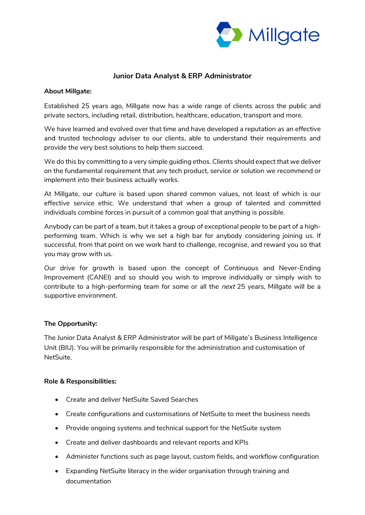

# **Junior Data Analyst & ERP Administrator**

#### **About Millgate:**

Established 25 years ago, Millgate now has a wide range of clients across the public and private sectors, including retail, distribution, healthcare, education, transport and more.

We have learned and evolved over that time and have developed a reputation as an effective and trusted technology adviser to our clients, able to understand their requirements and provide the very best solutions to help them succeed.

We do this by committing to a very simple guiding ethos. Clients should expect that we deliver on the fundamental requirement that any tech product, service or solution we recommend or implement into their business actually works.

At Millgate, our culture is based upon shared common values, not least of which is our effective service ethic. We understand that when a group of talented and committed individuals combine forces in pursuit of a common goal that anything is possible.

Anybody can be part of a team, but it takes a group of exceptional people to be part of a highperforming team. Which is why we set a high bar for anybody considering joining us. If successful, from that point on we work hard to challenge, recognise, and reward you so that you may grow with us.

Our drive for growth is based upon the concept of Continuous and Never-Ending Improvement (CANEI) and so should you wish to improve individually or simply wish to contribute to a high-performing team for some or all the *next* 25 years, Millgate will be a supportive environment.

## **The Opportunity:**

The Junior Data Analyst & ERP Administrator will be part of Millgate's Business Intelligence Unit (BIU). You will be primarily responsible for the administration and customisation of NetSuite.

#### **Role & Responsibilities:**

- Create and deliver NetSuite Saved Searches
- Create configurations and customisations of NetSuite to meet the business needs
- Provide ongoing systems and technical support for the NetSuite system
- Create and deliver dashboards and relevant reports and KPIs
- Administer functions such as page layout, custom fields, and workflow configuration
- Expanding NetSuite literacy in the wider organisation through training and documentation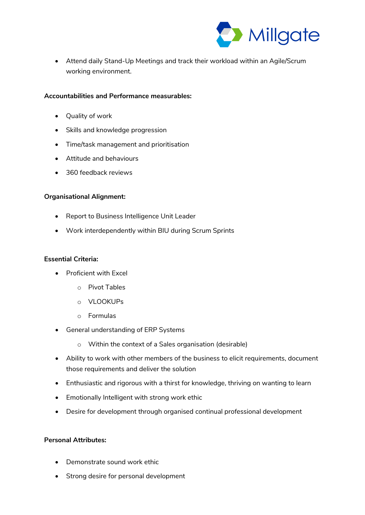

• Attend daily Stand-Up Meetings and track their workload within an Agile/Scrum working environment.

### **Accountabilities and Performance measurables:**

- Quality of work
- Skills and knowledge progression
- Time/task management and prioritisation
- Attitude and behaviours
- 360 feedback reviews

### **Organisational Alignment:**

- Report to Business Intelligence Unit Leader
- Work interdependently within BIU during Scrum Sprints

### **Essential Criteria:**

- Proficient with Excel
	- o Pivot Tables
	- o VLOOKUPs
	- o Formulas
- General understanding of ERP Systems
	- o Within the context of a Sales organisation (desirable)
- Ability to work with other members of the business to elicit requirements, document those requirements and deliver the solution
- Enthusiastic and rigorous with a thirst for knowledge, thriving on wanting to learn
- Emotionally Intelligent with strong work ethic
- Desire for development through organised continual professional development

### **Personal Attributes:**

- Demonstrate sound work ethic
- Strong desire for personal development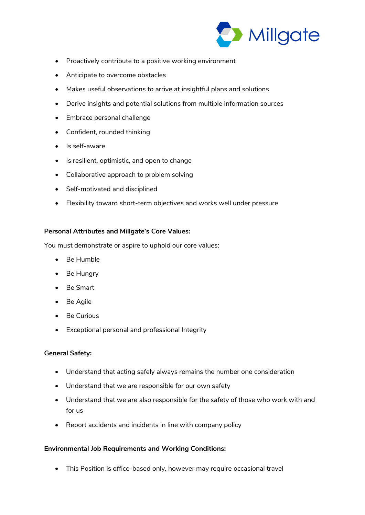

- Proactively contribute to a positive working environment
- Anticipate to overcome obstacles
- Makes useful observations to arrive at insightful plans and solutions
- Derive insights and potential solutions from multiple information sources
- Embrace personal challenge
- Confident, rounded thinking
- Is self-aware
- Is resilient, optimistic, and open to change
- Collaborative approach to problem solving
- Self-motivated and disciplined
- Flexibility toward short-term objectives and works well under pressure

## **Personal Attributes and Millgate's Core Values:**

You must demonstrate or aspire to uphold our core values:

- Be Humble
- Be Hungry
- Be Smart
- Be Agile
- Be Curious
- Exceptional personal and professional Integrity

## **General Safety:**

- Understand that acting safely always remains the number one consideration
- Understand that we are responsible for our own safety
- Understand that we are also responsible for the safety of those who work with and for us
- Report accidents and incidents in line with company policy

## **Environmental Job Requirements and Working Conditions:**

• This Position is office-based only, however may require occasional travel